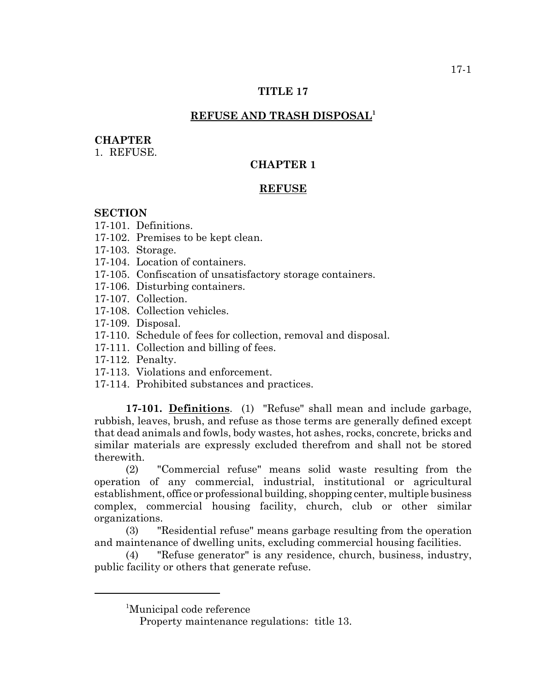### **TITLE 17**

## **REFUSE AND TRASH DISPOSAL1**

### **CHAPTER**

1. REFUSE.

# **CHAPTER 1**

### **REFUSE**

#### **SECTION**

17-101. Definitions.

- 17-102. Premises to be kept clean.
- 17-103. Storage.
- 17-104. Location of containers.
- 17-105. Confiscation of unsatisfactory storage containers.
- 17-106. Disturbing containers.
- 17-107. Collection.
- 17-108. Collection vehicles.
- 17-109. Disposal.
- 17-110. Schedule of fees for collection, removal and disposal.
- 17-111. Collection and billing of fees.
- 17-112. Penalty.
- 17-113. Violations and enforcement.
- 17-114. Prohibited substances and practices.

**17-101. Definitions**. (1) "Refuse" shall mean and include garbage, rubbish, leaves, brush, and refuse as those terms are generally defined except that dead animals and fowls, body wastes, hot ashes, rocks, concrete, bricks and similar materials are expressly excluded therefrom and shall not be stored therewith.

(2) "Commercial refuse" means solid waste resulting from the operation of any commercial, industrial, institutional or agricultural establishment, office or professional building, shopping center, multiple business complex, commercial housing facility, church, club or other similar organizations.

(3) "Residential refuse" means garbage resulting from the operation and maintenance of dwelling units, excluding commercial housing facilities.

(4) "Refuse generator" is any residence, church, business, industry, public facility or others that generate refuse.

<sup>1</sup> Municipal code reference

Property maintenance regulations: title 13.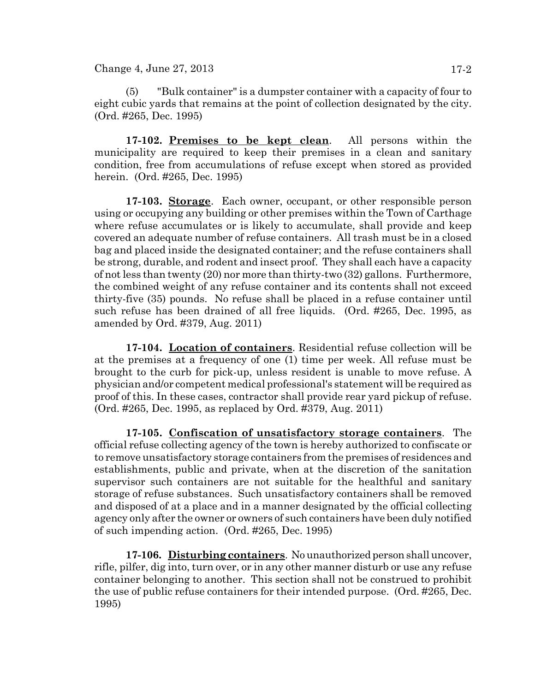(5) "Bulk container" is a dumpster container with a capacity of four to eight cubic yards that remains at the point of collection designated by the city. (Ord. #265, Dec. 1995)

**17-102. Premises to be kept clean**. All persons within the municipality are required to keep their premises in a clean and sanitary condition, free from accumulations of refuse except when stored as provided herein. (Ord. #265, Dec. 1995)

**17-103. Storage**. Each owner, occupant, or other responsible person using or occupying any building or other premises within the Town of Carthage where refuse accumulates or is likely to accumulate, shall provide and keep covered an adequate number of refuse containers. All trash must be in a closed bag and placed inside the designated container; and the refuse containers shall be strong, durable, and rodent and insect proof. They shall each have a capacity of not less than twenty (20) nor more than thirty-two (32) gallons. Furthermore, the combined weight of any refuse container and its contents shall not exceed thirty-five (35) pounds. No refuse shall be placed in a refuse container until such refuse has been drained of all free liquids. (Ord. #265, Dec. 1995, as amended by Ord. #379, Aug. 2011)

**17-104. Location of containers**. Residential refuse collection will be at the premises at a frequency of one (1) time per week. All refuse must be brought to the curb for pick-up, unless resident is unable to move refuse. A physician and/or competent medical professional's statement will be required as proof of this. In these cases, contractor shall provide rear yard pickup of refuse. (Ord. #265, Dec. 1995, as replaced by Ord. #379, Aug. 2011)

**17-105. Confiscation of unsatisfactory storage containers**. The official refuse collecting agency of the town is hereby authorized to confiscate or to remove unsatisfactory storage containers from the premises of residences and establishments, public and private, when at the discretion of the sanitation supervisor such containers are not suitable for the healthful and sanitary storage of refuse substances. Such unsatisfactory containers shall be removed and disposed of at a place and in a manner designated by the official collecting agency only after the owner or owners of such containers have been duly notified of such impending action. (Ord. #265, Dec. 1995)

**17-106. Disturbing containers**. No unauthorized person shall uncover, rifle, pilfer, dig into, turn over, or in any other manner disturb or use any refuse container belonging to another. This section shall not be construed to prohibit the use of public refuse containers for their intended purpose. (Ord. #265, Dec. 1995)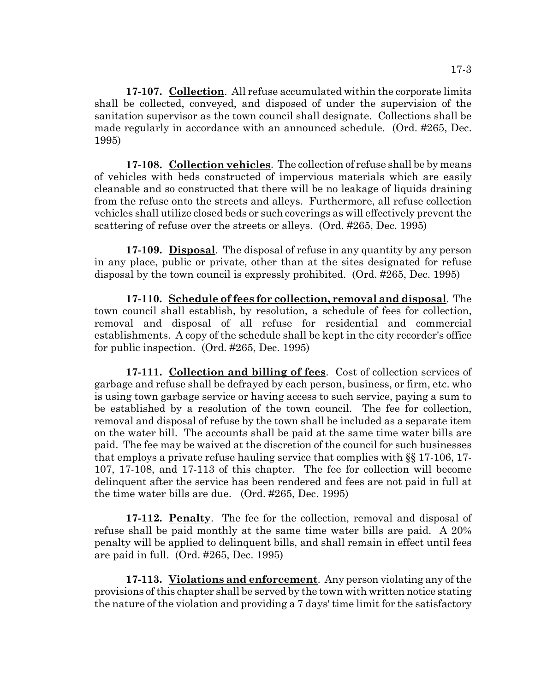**17-107. Collection**. All refuse accumulated within the corporate limits shall be collected, conveyed, and disposed of under the supervision of the sanitation supervisor as the town council shall designate. Collections shall be made regularly in accordance with an announced schedule. (Ord. #265, Dec. 1995)

**17-108. Collection vehicles**. The collection of refuse shall be by means of vehicles with beds constructed of impervious materials which are easily cleanable and so constructed that there will be no leakage of liquids draining from the refuse onto the streets and alleys. Furthermore, all refuse collection vehicles shall utilize closed beds or such coverings as will effectively prevent the scattering of refuse over the streets or alleys. (Ord. #265, Dec. 1995)

**17-109. Disposal**. The disposal of refuse in any quantity by any person in any place, public or private, other than at the sites designated for refuse disposal by the town council is expressly prohibited. (Ord. #265, Dec. 1995)

**17-110. Schedule of fees for collection, removal and disposal**. The town council shall establish, by resolution, a schedule of fees for collection, removal and disposal of all refuse for residential and commercial establishments. A copy of the schedule shall be kept in the city recorder's office for public inspection. (Ord. #265, Dec. 1995)

**17-111. Collection and billing of fees**. Cost of collection services of garbage and refuse shall be defrayed by each person, business, or firm, etc. who is using town garbage service or having access to such service, paying a sum to be established by a resolution of the town council. The fee for collection, removal and disposal of refuse by the town shall be included as a separate item on the water bill. The accounts shall be paid at the same time water bills are paid. The fee may be waived at the discretion of the council for such businesses that employs a private refuse hauling service that complies with §§ 17-106, 17- 107, 17-108, and 17-113 of this chapter. The fee for collection will become delinquent after the service has been rendered and fees are not paid in full at the time water bills are due. (Ord. #265, Dec. 1995)

**17-112. Penalty**. The fee for the collection, removal and disposal of refuse shall be paid monthly at the same time water bills are paid. A 20% penalty will be applied to delinquent bills, and shall remain in effect until fees are paid in full. (Ord. #265, Dec. 1995)

**17-113. Violations and enforcement**. Any person violating any of the provisions of this chapter shall be served by the town with written notice stating the nature of the violation and providing a 7 days' time limit for the satisfactory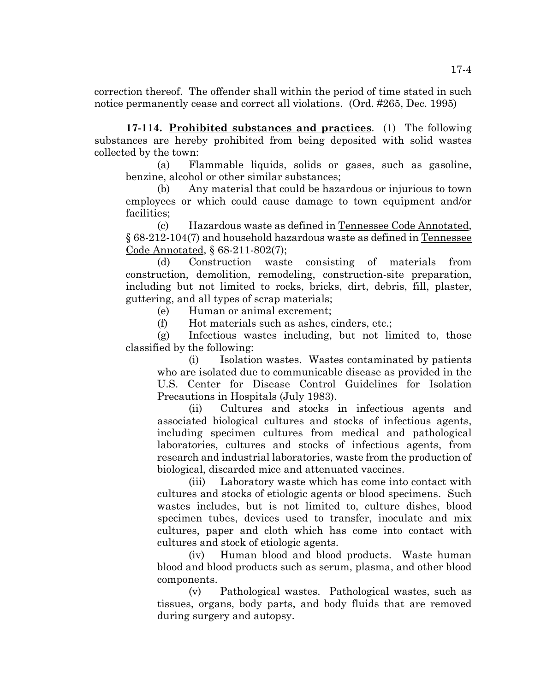correction thereof. The offender shall within the period of time stated in such notice permanently cease and correct all violations. (Ord. #265, Dec. 1995)

**17-114. Prohibited substances and practices**. (1) The following substances are hereby prohibited from being deposited with solid wastes collected by the town:

(a) Flammable liquids, solids or gases, such as gasoline, benzine, alcohol or other similar substances;

(b) Any material that could be hazardous or injurious to town employees or which could cause damage to town equipment and/or facilities;

(c) Hazardous waste as defined in Tennessee Code Annotated, § 68-212-104(7) and household hazardous waste as defined in Tennessee Code Annotated, § 68-211-802(7);

(d) Construction waste consisting of materials from construction, demolition, remodeling, construction-site preparation, including but not limited to rocks, bricks, dirt, debris, fill, plaster, guttering, and all types of scrap materials;

(e) Human or animal excrement;

(f) Hot materials such as ashes, cinders, etc.;

(g) Infectious wastes including, but not limited to, those classified by the following:

(i) Isolation wastes. Wastes contaminated by patients who are isolated due to communicable disease as provided in the U.S. Center for Disease Control Guidelines for Isolation Precautions in Hospitals (July 1983).

(ii) Cultures and stocks in infectious agents and associated biological cultures and stocks of infectious agents, including specimen cultures from medical and pathological laboratories, cultures and stocks of infectious agents, from research and industrial laboratories, waste from the production of biological, discarded mice and attenuated vaccines.

(iii) Laboratory waste which has come into contact with cultures and stocks of etiologic agents or blood specimens. Such wastes includes, but is not limited to, culture dishes, blood specimen tubes, devices used to transfer, inoculate and mix cultures, paper and cloth which has come into contact with cultures and stock of etiologic agents.

(iv) Human blood and blood products. Waste human blood and blood products such as serum, plasma, and other blood components.

(v) Pathological wastes. Pathological wastes, such as tissues, organs, body parts, and body fluids that are removed during surgery and autopsy.